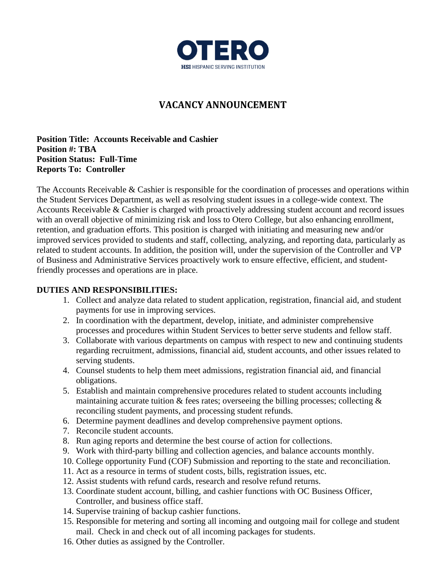

# **VACANCY ANNOUNCEMENT**

**Position Title: Accounts Receivable and Cashier Position #: TBA Position Status: Full-Time Reports To: Controller**

The Accounts Receivable & Cashier is responsible for the coordination of processes and operations within the Student Services Department, as well as resolving student issues in a college-wide context. The Accounts Receivable & Cashier is charged with proactively addressing student account and record issues with an overall objective of minimizing risk and loss to Otero College, but also enhancing enrollment, retention, and graduation efforts. This position is charged with initiating and measuring new and/or improved services provided to students and staff, collecting, analyzing, and reporting data, particularly as related to student accounts. In addition, the position will, under the supervision of the Controller and VP of Business and Administrative Services proactively work to ensure effective, efficient, and studentfriendly processes and operations are in place.

## **DUTIES AND RESPONSIBILITIES:**

- 1. Collect and analyze data related to student application, registration, financial aid, and student payments for use in improving services.
- 2. In coordination with the department, develop, initiate, and administer comprehensive processes and procedures within Student Services to better serve students and fellow staff.
- 3. Collaborate with various departments on campus with respect to new and continuing students regarding recruitment, admissions, financial aid, student accounts, and other issues related to serving students.
- 4. Counsel students to help them meet admissions, registration financial aid, and financial obligations.
- 5. Establish and maintain comprehensive procedures related to student accounts including maintaining accurate tuition  $\&$  fees rates; overseeing the billing processes; collecting  $\&$ reconciling student payments, and processing student refunds.
- 6. Determine payment deadlines and develop comprehensive payment options.
- 7. Reconcile student accounts.
- 8. Run aging reports and determine the best course of action for collections.
- 9. Work with third-party billing and collection agencies, and balance accounts monthly.
- 10. College opportunity Fund (COF) Submission and reporting to the state and reconciliation.
- 11. Act as a resource in terms of student costs, bills, registration issues, etc.
- 12. Assist students with refund cards, research and resolve refund returns.
- 13. Coordinate student account, billing, and cashier functions with OC Business Officer, Controller, and business office staff.
- 14. Supervise training of backup cashier functions.
- 15. Responsible for metering and sorting all incoming and outgoing mail for college and student mail. Check in and check out of all incoming packages for students.
- 16. Other duties as assigned by the Controller.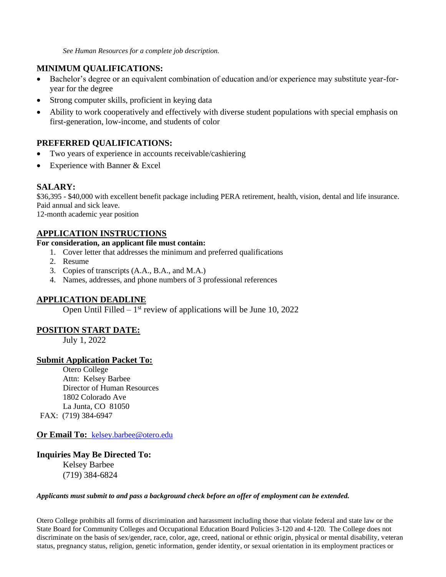*See Human Resources for a complete job description.*

### **MINIMUM QUALIFICATIONS:**

- Bachelor's degree or an equivalent combination of education and/or experience may substitute year-foryear for the degree
- Strong computer skills, proficient in keying data
- Ability to work cooperatively and effectively with diverse student populations with special emphasis on first-generation, low-income, and students of color

### **PREFERRED QUALIFICATIONS:**

- Two years of experience in accounts receivable/cashiering
- Experience with Banner & Excel

### **SALARY:**

\$36,395 - \$40,000 with excellent benefit package including PERA retirement, health, vision, dental and life insurance. Paid annual and sick leave.

12-month academic year position

#### **APPLICATION INSTRUCTIONS**

#### **For consideration, an applicant file must contain:**

- 1. Cover letter that addresses the minimum and preferred qualifications
- 2. Resume
- 3. Copies of transcripts (A.A., B.A., and M.A.)
- 4. Names, addresses, and phone numbers of 3 professional references

#### **APPLICATION DEADLINE**

Open Until Filled  $-1$ <sup>st</sup> review of applications will be June 10, 2022

#### **POSITION START DATE:**

July 1, 2022

#### **Submit Application Packet To:**

Otero College Attn: Kelsey Barbee Director of Human Resources 1802 Colorado Ave La Junta, CO 81050 FAX: (719) 384-6947

**Or Email To:** [kelsey.barbee@otero.edu](mailto:kelsey.barbee@otero.edu)

#### **Inquiries May Be Directed To:**

Kelsey Barbee (719) 384-6824

#### *Applicants must submit to and pass a background check before an offer of employment can be extended.*

Otero College prohibits all forms of discrimination and harassment including those that violate federal and state law or the State Board for Community Colleges and Occupational Education Board Policies 3-120 and 4-120. The College does not discriminate on the basis of sex/gender, race, color, age, creed, national or ethnic origin, physical or mental disability, veteran status, pregnancy status, religion, genetic information, gender identity, or sexual orientation in its employment practices or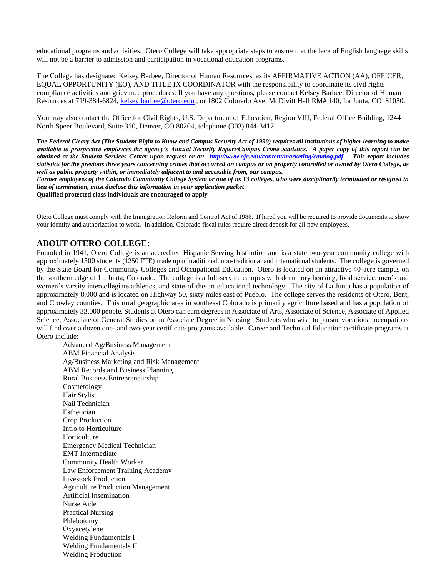educational programs and activities. Otero College will take appropriate steps to ensure that the lack of English language skills will not be a barrier to admission and participation in vocational education programs.

The College has designated Kelsey Barbee, Director of Human Resources, as its AFFIRMATIVE ACTION (AA), OFFICER, EQUAL OPPORTUNITY (EO), AND TITLE IX COORDINATOR with the responsibility to coordinate its civil rights compliance activities and grievance procedures. If you have any questions, please contact Kelsey Barbee, Director of Human Resources at 719-384-6824, [kelsey.barbee@otero.edu](mailto:kelsey.barbee@otero.edu) , or 1802 Colorado Ave. McDivitt Hall RM# 140, La Junta, CO 81050.

You may also contact the Office for Civil Rights, U.S. Department of Education, Region VIII, Federal Office Building, 1244 North Speer Boulevard, Suite 310, Denver, CO 80204, telephone (303) 844-3417.

*The Federal Cleary Act (The Student Right to Know and Campus Security Act of 1990) requires all institutions of higher learning to make available to prospective employees the agency's Annual Security Report/Campus Crime Statistics. A paper copy of this report can be obtained at the Student Services Center upon request or at: [http://www.ojc.edu/content/marketing/catalog.pdf.](http://www.ojc.edu/content/marketing/catalog.pdf) This report includes statistics for the previous three years concerning crimes that occurred on campus or on property controlled or owned by Otero College, as well as public property within, or immediately adjacent to and accessible from, our campus.*

*Former employees of the Colorado Community College System or one of its 13 colleges, who were disciplinarily terminated or resigned in lieu of termination, must disclose this information in your application packet*

**Qualified protected class individuals are encouraged to apply**

Otero College must comply with the Immigration Reform and Control Act of 1986. If hired you will be required to provide documents to show your identity and authorization to work. In addition, Colorado fiscal rules require direct deposit for all new employees.

#### **ABOUT OTERO COLLEGE:**

Founded in 1941, Otero College is an accredited Hispanic Serving Institution and is a state two-year community college with approximately 1500 students (1250 FTE) made up of traditional, non-traditional and international students. The college is governed by the State Board for Community Colleges and Occupational Education. Otero is located on an attractive 40-acre campus on the southern edge of La Junta, Colorado. The college is a full-service campus with dormitory housing, food service, men's and women's varsity intercollegiate athletics, and state-of-the-art educational technology. The city of La Junta has a population of approximately 8,000 and is located on Highway 50, sixty miles east of Pueblo. The college serves the residents of Otero, Bent, and Crowley counties. This rural geographic area in southeast Colorado is primarily agriculture based and has a population of approximately 33,000 people. Students at Otero can earn degrees in Associate of Arts, Associate of Science, Associate of Applied Science, Associate of General Studies or an Associate Degree in Nursing. Students who wish to pursue vocational occupations will find over a dozen one- and two-year certificate programs available. Career and Technical Education certificate programs at Otero include:

Advanced Ag/Business Management ABM Financial Analysis Ag/Business Marketing and Risk Management ABM Records and Business Planning Rural Business Entrepreneurship Cosmetology Hair Stylist Nail Technician Esthetician Crop Production Intro to Horticulture Horticulture Emergency Medical Technician EMT Intermediate Community Health Worker Law Enforcement Training Academy Livestock Production Agriculture Production Management Artificial Insemination Nurse Aide Practical Nursing Phlebotomy Oxyacetylene Welding Fundamentals I Welding Fundamentals II Welding Production